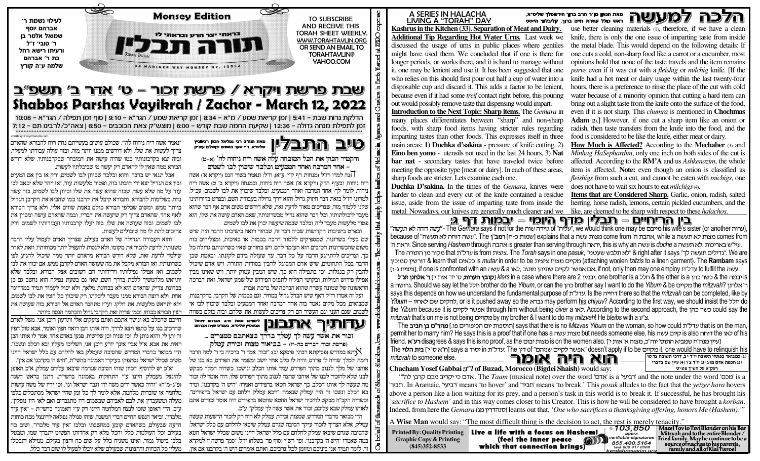# ע שאת הגאון מדר הרב ברוך הירשפלד שליס״א.<br>געירת חיים ברול עסרת חיים ברוך, קליבלנד הייסס Ω

use better cleaning materials (1), therefore, if we have a clean knife, there is only the one issue of imparting taste from inside the metal blade. This would depend on the following details: If one cuts a cold, non-sharp food like a carrot or a cucumber, most opinions hold that none of the taste travels and the item remains *parve* even if it was cut with a *fleishig* or *milchig* knife. If the knife had a hot meat or dairy usage within the last twenty-four hours, there is a preference to rinse the place of the cut with cold water because of a minority opinion that cutting a hard item can bring out a slight taste from the knife onto the surface of the food, even if it is not sharp. This *chumra* is mentioned in **Chochmas** Adam (2).] However, if one cut a sharp item like an onion or radish, then taste transfers from the knife into the food, and the food is considered to be like the knife, either meat or dairy.

How Much is Affected? According to the Mechaber (3) and Minhag HaSephardim, only one inch on both sides of the cut is affected. According to the RM'A and us Ashkenazim, the whole item is affected. Note: even though an onion is classified as *fleishigs* from such a cut, and cannot be eaten with *michigs*, one does not have to wait six hours to eat *milchigs* (4).

**Items that are Considered Sharp.** Garlic, onion, radish, salted herring, horse radish, lemons, certain pickled cucumbers, and the

### ביו הריחיים – תבלין מדף היומי – יבמות דף ג:

(ערוה his wife's sister (or another מייבם of ישה או איטליה", we would think one may be ועישה דוחה לא תעשה או The Gemara says if not for the ועים או because of "מ**ע**ל דוחה לא תעשה" The "אהבת ה' come from מצות עשה explains that a <u>ו</u>שמות כ-ח**] רמב"ו The "עשה דוחה לא תעשה" comes from** , עיי"ש באריכות .לא תעשה is doche a עשה though איראה is greater than serving through אהבה Since serving Hashem through .עיר ה' The Torah savs in one *pasuk. "לא תלבש שעטנו" אלא תלבש שעטנו".* The *Torah* savs in one *pasuk. ציצית* "& right after it savs "לגדילים תעשה לד" We are אותורה The a learn that כלאים is *mutar* in order to be כלאפס (attaching woolen *tzitzis* to a linen garment). The **Rambam** says . עט און to fulfill the עדל"ת און if one is confronted with an אם אפשר לקיים שתיהו מוטב .לאו & a עשה

is כמה athe סשר כהו a the other is a הלל one brother is a .יבמיו klers in a case where there are 2 הבטר הערות. ס' יד' אות י'ז **ר' אלחנו זצ"ל** a העל the Yibum a do the Yibum or can the yah che Say I want to do the Yibum & be כקים the mitzvah? אלחני says this depends on how we understand the fundamental purpose of . עדל"ת. Is the החייה there so that the mitzvah can be completed, like by Yibum – להקים שם לאחיו, or is it pushed away so the גברא may perform his chiyuv? According to the first way, we should insist the לחקים שם לאחיו, Yibum – של האחיו the Yibum because it is בשר לקיים through him without being oiver a לאו According to the second approach, the mitzvah that's on me is not being provided my brother & I want to do my mitzvah! He bleibs with a y"x.

The שבהר"ם בן תביב Says that there is no *Mitzvas Yibum* on the woman, so how could עדל"ח בן תביב The המהר"ם בן תביב The of his לאף of his לאמער לא but needs someone else, his מצות עשה bermit her to marry him? He says this is a proof that if one has a קיום עשה friend. **א־ט** disagrees & says this is no proof. as the שמצות יבום is on the women also. ו- "מצורה אי sisagrees A says this is no proof. as the מצות יבום The איז די דון says a ווי פרל "The אפשר לקיים שניהם" The דאפיה להיים אות ולה "The אפשר לקיים שניהם" The זערל"ת חו

1) כמבואר בפתחי תשובה יו"ד יב. דרכי תשובה צד:טו הוא היה אומר Chacham Yosef Gabbai zt'l of Buzad, Morocco (Bigdei Shaish) would say: רעק"א על הש"ד פטינט

(2) חכמת אדם מזוג (3) יו"ד צ"ו (4) עיין שם בדברי

"הדם כי יקריב מכם קרבן לה"ז sa 'אדם' and the note under the word 'רביעי' sa 'אדם' and the note under the word' המכם' 'תביר 'means 'to hover' and 'תביר means 'to break.' This *posuk* alludes to the fact that the vetzer hara hovers.'תביר above a person like a lion waiting for its prey, and a person's task in this world is to break it. If successful, he has brought his 'sacrifice to Hashem' and in this way comes closer to his Creator. This is how he will be considered to have brought a korban. Indeed, from here the Gemara (ספרדר וכל bearns out that, 'One who sacrifices a thanksgiving offering, honors Me (Hashem)."

A Wise Man would say: "The most difficult thing is the decision to act, the rest is merely tenacity."



#### A SERIES IN HALACHA LIVING A "TORAH" DAY

Kashrus in the Kitchen (33). Separation of Meat and Dairy. **Additional Tip Regarding Hot Water Urns.** Last week we discussed the usage of urns in public places where gentiles might have used them. We concluded that if one is there for longer periods, or works there, and it is hard to manage without it, one may be lenient and use it. It has been suggested that one who relies on this should first pour out half a cup of water into a disposable cup and discard it. This adds a factor to be lenient, because even if it had some *treif* contact right before, this pouring out would possibly remove taste that dispensing would impart.

Introduction to the Next Topic: Sharp items. The Gemara in many places differentiates between "sharp" and non-sharp foods, with sharp food items having stricter rules regarding imparting tastes than other foods. This expresses itself in three main areas: 1) Duchka d'sakina - pressure of knife cutting. 2) **Eino ben vomo** - utensils not used in the last 24 hours, 3) Nat bar nat - secondary tastes that have traveled twice before meeting the opposite type [meat or dairy]. In each of these areas, sharp foods are stricter. Lets examine each one.

**Duchka D'sakina.** In the times of the *Gemara*, knives were harder to clean and every cut of the knife contained a residue issue, aside from the issue of imparting taste from inside the metal. Nowadays, our knives are generally much cleaner and we like, are deemed to be sharp with respect to these *halachos*.

mitzvah to someone else.

W **Monsey Edition TO SUBSCRIBE AND RECEIVE THIS TORAH SHEET WEEKLY** בראתי יצר הרע ובראתי לו WWW.TORAHTAVLIN.ORC eta 200 OR SEND AN EMAIL TO **TORAHTAVLIN@** YAHOO.COM <sup>34</sup> MARINER WAY MONSEY NY.



## שבת פרשת ויקרא / פרשת זכור - ט' אדר ב' תשפ"ב Shabbos Parshas Vayikrah / Zachor - March 12, 2022

10:08 – גרות שבת – 5:41 | זמן קריאת שמע / מ״א – 8:34 | זמן קריאת שמע / הגר״א – 9:10 | סוף זמן תפילה / הגר״א – 10:08 זמן לתפילת מנחה גדולה – 12:36 | שקיעת החמה שבת קודש – 6:00 | מוצש״ק צאת הכוכבים – 6:50 | צאה״כ/לרבינו תם – 7:12

> מאת הגה"צ רבי גמליאל הכהן רבינוביץ **END** שליט"א. ר"י שער השמים ירושלים עיה"ק

והקטיר הכהן את הכל המובחה עלה אשה ריח ניחוח לה' (א-ט) אחד המרבה ואחד הממטיט ובלבד שיכויו לבו לשמים

הנה למדו רז״ל (מנחות דף ק״י, ע״א), וז״ל: ונאמר בשור הגס (ויקרא א׳) אשה יח ניחוח, ובעוף הדק (ויקרא א') אשה ריח ניחוח, ובמנחה (ויקרא ב' ט) אשה ריח וחוח. לומר לר: אחד המרבה ואחד הממעיט. ובלבד שיכויז את לבו לשמים: עכ״ל. למדונו רז״ל בזאת דבר חיזוק גדול. והוא דרר גדולה בעבודת השם. ובפרט בדורותינו שלנו ללמוד מזה, שצריכים מאוד לדעת זאת. שלא דורשים משום אדם אף דבר שהוא מעבר ליכולתותיו. וכל דבר שהוא גדול מכשרונותיו. שאם האדם עושה את שלו. הוא פטור מלעשות מעבר לזה. ובלבד שבמה שיעשה יכויז את לבו לשמים.

ובפרט בישיבות הקדושות שכיח דבר זה, שבחור רואה בישיבתו הדבר הזה, שיש שם בעלי כשרונות שמספיקים ללמוד הרבה בכמות או באיכות. ומצליחים בזה משום שהכשרונות הטובים הוא העומד להם. ויש בחורים שאיו כשרונותם גדולה כל בר. וצריכים להתייגע הרבה על כל דבר. עד שעולה בידם לקונתו. ובאמת שכז זדבר בכל התחומים. שיש אדם המסוגל להבין בסודות התורה, ויש אדם שיכול להביז רק בנגלות. וכז בתפילה הוא כר. שיש המביז עמוק יותר. ויש שאינו מביז אפילו פירוש המילות. ובקושי הצליח לתפוס הפירוש של שמע ישראל. ואת הברכה הראשונה של שמונה עשרה שהוא הברכה של ברכת אבות.

ועל זה אמרו רז״ל דאף שיש הבדל גדול במחיר, וגם בכמות של הקרבן, בהקרבנות שמביאים. מכל מקום נאמר בזה אחד המרבה ואחד הממעיט ובלבד שיכויז לבו אי לשמים. שגם העני וגם העשיר הם רק צריכים לעשות את שלהם. ובזה כולם בשווה

לימודים מאת חרב אברהם דניאל  $\mathbb{R}$   $\mathbb{R}$   $\mathbb{R}$   $\mathbb{R}$   $\mathbb{R}$   $\mathbb{R}$   $\mathbb{R}$   $\mathbb{R}$   $\mathbb{R}$   $\mathbb{R}$   $\mathbb{R}$   $\mathbb{R}$   $\mathbb{R}$   $\mathbb{R}$   $\mathbb{R}$   $\mathbb{R}$   $\mathbb{R}$   $\mathbb{R}$   $\mathbb{R}$   $\mathbb{R}$   $\mathbb{R}$   $\mathbb{R}$   $\mathbb{R}$   $\mathbb{R}$   $\mathbb{$ **JULIAN** וכור את אשר עשה לך עמלך בדרך בצאתכם ממצרים ...

(פרשת זכור. דברים כה-יז) – בביאור מצות. זכירת. עמלק

יתא במדרש (פסיקתא רבתי, פיסקא יב): ״זכור, אמר ר׳ ברכיה בי ר׳ למה הדבר $\aleph$ ומה. למלר שהיה לו פרדס. והיה לו כלב אחד יושב ומשמר את הפרדס. בא בנו של אוהבו של מלר לגנוב מתור הפרדס. עמד אותו הכלב ונושכו. כשהיה המלר מבקש לבנו שלא להזכיר לבנו של אוהבו שרצה לגנוב מתור הפרדס שלו. היה אומר לו: זכור מה שעשה לך אותו הכלב. כך ישראל חטאו ברפידים ואמרו: ״היש ה׳ בקרבנו״. ומיד בא הכלב ונשכו זה היה עמלק שנאמר: ״ויבא עמלק וילחם עם ישראל ברפידים״. כשהיה הקב״ה מבקש להזכיר ישראל החטא שחטאו ברפידים היה אומר זכורים אתם לאותו עמלק שבא עליכם. זכור את אשר עשה לר עמלק". ע"כ.

הרי מבואר מדברי המדרש. שמצות זכירת עמלק לא היה רק לזכור הרשעות שעשה עמלק. אלא הצריר לזכור עיקר הסיבה שגרם עמלק שיבאו להלחם עם כלל ישראל. הסיבה שגרם שיבאו עמלק להלחם עם כלל ישראל היינו משום שכלל ישראל חטא כמה שאמרו ״היש ה׳ בקרבנו״. ופי׳ רש״י וסוף פר׳ בשלח) וז״ל. ״סמר פרשה זו למקרא . לומר תמיד אני ביניכם ומזומז לכל צרכיכם, ואתם אומרים היש ה' בקרבנו אם אין,

״נאמר אשה ריח ניחוח לה״׳. שכולם עושים בעשייתם נחת רוח להבורא. שהאדם צריר לעשות את שלו. ולא דורשים ממנו יותר מזה. ובזה עולה עבודתו למעלה. ובזה יצא בקרבונותיו כמו שהיה עושה את המובחר שבקרבנותיו. שלא דורש הבורא ממה שאין לו להאדם. רק יעשה מי שביכלתיו לעשות.

אבל תנאי יש בדבר. והוא ובלבד שכיווז לבו לשמים. ורק אז ביז אם המעיט וביז אם הגדיל יצא ידי חובתו בזה. ופטור מלעשות עוד. ואז יזהר שלא יכאב לבו עוד על מה שלא עשה. שבזה שהוא עשה את שלו וכיוון לבו לשמים. בזה עשה נחת בשלימות להבורא. והבורא קיבל את קרבנו כמו שהביא את הקרבו הגדול ביותר ממש. ומשום שכלפי הבורא כולם באמת שווים אליו. ולא צריר הבורא לאף אחר. שהאדם צריר רק שיעשה את דבריו. ובמה שהאדם עושה ומכויז את לבו לשמים. ובזה שעושה את שלו. בזה יעלו קרבנותיו ועבודותיו לשמים. ורק צריכים לתת לו מה שיכולים לעשות.

והוא העבודה הגדולה של האדם בעולם. שצריר האדם לעמול עליו הרבה משנותיו. לדעת להכיר את מקומו. ולא לנסות להעפיל יותר מכוחותיו. וזאת לאחר שילמד לדעת זאת. שלא דורש הבורא מהאדם יותר ממה שיכול להגיע לפי כשרונותיו, ואז הבורא מקבל את מה שעושה האדם לקרבז ממש. אם יכווז את לבו לשמים. ואז אפילו נפילותיו וירידותיו הם חשובים אצל הבורא. ובלבד שלא יתייאש מלהמשיך ללכת בדרך השם. שאז גם בשעת נפילה הוא נחשב גם כז בבחינת צדיק. שהאדם הוא לא בבחינת מלאר. ולא יכול לעמוד תמיד במדריגה אחת, ולא רוצה הבורא ממנו מעבר ליכלתו, רק שיכוון כל הזמז את לבו לשמים. ולא יתייאש מלעשות את חלקו. ועי"ז מתחבר האדם אל הבורא. בזה שעושה את רצוז הבורא בכוחו. וכמו שהיה זאת הקרבז גדול והבהמה הגסה ביותר.

חייכם שהכלב בא ונושר אתכם ואתם צועקים אלי ותדעון היכן אני. משל לאדם שהרכיב בנו על כתפו ויצא לדרר. היה אותו הבז רואה חפץ ואומר. אבא טול חפץ זה ותז לי. והוא נותז לו. וכז שניה וכז שלישית. פגעו באדם אחד. אמר לו אותו הבז ראית את אבא. א״ל אביו אינך יודע היכן אני, השליכו מעליו ובא הכלב ונשכו״. הרי מבואר כדברי המדרש, שהסיבה שעמלק באו להלחם עם כלל ישראל היינו משום שכלל ישראל נסתפקו בעיקרי האמונה בהשי״ת. ״היש ה׳ בקרבנו אם איז״.

וא״כ יש להוסיף. דכיוו שזהו הסיבה שגרמה שיבאו עליהם עמלק. א״כ האופז להינצל מעמלק היינו ע״י התחזקות באמונה בהשי״ת. דתנו בראש השנה (פ″ג−מ″ח): ״והיה כאשר ירים משה ידו וגבר ישראל וגו′. וכי ידיו של משה עושות מלחמה או שוברות מלחמה. אלא לומר לר כל זמז שהיו ישראל מסתכלים כלפי מעלה ומשעבדיו את לבם לאביהם שבשמים היו מתגברים ואם לאו היו נופליו״. ע״כ. הרי האופו שזכו לנצח המלחמה היינו רק ע״י האמונה בהשי״ת - ״איו עוד מלבדו״. וביאר הנפש החיים דברי המשנה. שזהו סגולה נפלאה להינצל מכח כוחות הרעה שבעולם. כשהאדם קובע במחשבתו ובלבו ״איז עוד מלבדו״. ושום כח בעולם וכל העולמות כלל והכל מלא רק אחדותו הפשוט יתברך שמו. ומבטל בלבו ביטול גמור. ואינו משניח כלל על שום כח ורצוו בעולם. ממילא יתבטלו

מעליו כל הכחות והרצונות שבעולם שלא יוכלו לפעול לו שום דבר כלל.